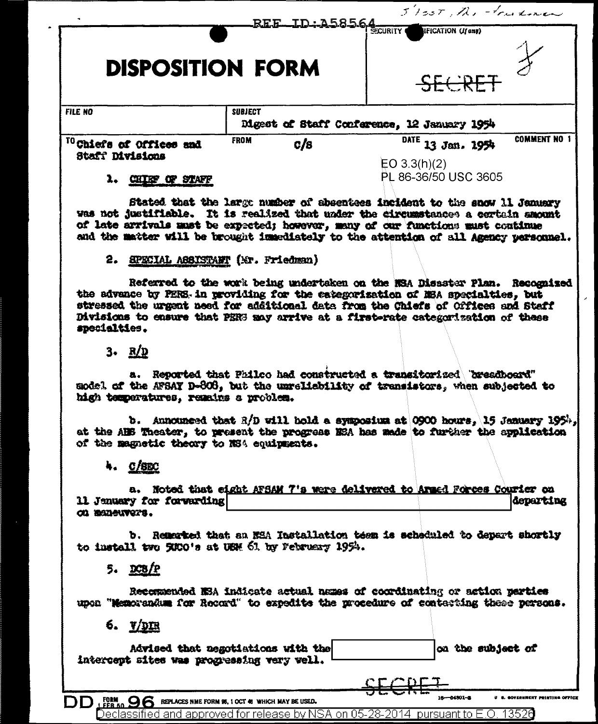|                                                                                                                                                                                                                                                                                                                                                                                  | <b>TD: A58564</b>                                                                          |                                                  | 5 Isst, The Fourtner |
|----------------------------------------------------------------------------------------------------------------------------------------------------------------------------------------------------------------------------------------------------------------------------------------------------------------------------------------------------------------------------------|--------------------------------------------------------------------------------------------|--------------------------------------------------|----------------------|
| <b>DISPOSITION FORM</b>                                                                                                                                                                                                                                                                                                                                                          |                                                                                            | IFICATION (If any)<br>SECRET                     |                      |
| <b>FILE NO</b>                                                                                                                                                                                                                                                                                                                                                                   | <b>SUBJECT</b><br>Digest of Staff Conference, 12 January 1954                              |                                                  |                      |
| <sup>10</sup> Chiefs of Offices and<br>Staff Divisions                                                                                                                                                                                                                                                                                                                           | <b>FROM</b><br>c/s                                                                         | $\overline{DATE}$ 13 Jan. 1954<br>EO $3.3(h)(2)$ | <b>COMMENT NO 1</b>  |
| 1. CHIEF OF STAFF                                                                                                                                                                                                                                                                                                                                                                |                                                                                            | PL 86-36/50 USC 3605                             |                      |
| Stated that the large number of absentees incident to the snow 11 January<br>was not justifiable. It is realized that under the circumstances a certain amount<br>of late arrivals must be expected; however, many of our functions must continue<br>and the matter will be brought inmediately to the attention of all Agency personnel.<br>2. SPECIAL ASSISTANT (Mr. Friedman) |                                                                                            |                                                  |                      |
| Referred to the work being undertaken on the NSA Disaster Plan. Recognized<br>the advance by PERS in providing for the estegorization of MEA specialties, but<br>stressed the urgent need for additional data from the Chiefs of Offices and Staff<br>Divisions to ensure that PER3 may arrive at a first-rate categorization of these<br>specialties.                           |                                                                                            |                                                  |                      |
| 3. R/D                                                                                                                                                                                                                                                                                                                                                                           |                                                                                            |                                                  |                      |
| sodel of the AFSAY D-808, but the unreliability of transistors, when subjected to<br>high temperatures, remains a problem.                                                                                                                                                                                                                                                       | a. Reported that Philco had constructed a transitorized breadboard"                        |                                                  |                      |
| at the ABS Theater, to present the progress NSA has made to further the application<br>of the magnetic theory to NS4 equipments.                                                                                                                                                                                                                                                 | b. Announced that $R/D$ will hold a symposium at 0900 hours, 15 January 195 <sup>1</sup> , |                                                  |                      |
| 4. $O/8BC$                                                                                                                                                                                                                                                                                                                                                                       |                                                                                            |                                                  |                      |
| 11 Jenuary for forwarding<br>OD BODSUVOTS.                                                                                                                                                                                                                                                                                                                                       | a. Noted that eight AFSAM 7's were delivered to Armed Forces Courier on                    |                                                  | departing            |
| to install two SECO's at UEM 61 by February 1954.                                                                                                                                                                                                                                                                                                                                | b. Remembed that an MSA Installation teem is scheduled to depart shortly                   |                                                  |                      |
| 5. DCB/P                                                                                                                                                                                                                                                                                                                                                                         |                                                                                            |                                                  |                      |
| upon "Memorandum for Record" to expedite the procedure of contarting these persons.                                                                                                                                                                                                                                                                                              | Recormended NSA indicate actual names of coordinating or action parties                    |                                                  |                      |
| 6. <u>WDIR</u>                                                                                                                                                                                                                                                                                                                                                                   |                                                                                            |                                                  |                      |
| intercept sites was progressing very well.                                                                                                                                                                                                                                                                                                                                       | Advised that negotiations with the                                                         |                                                  | on the subject of    |
|                                                                                                                                                                                                                                                                                                                                                                                  |                                                                                            | 16-14501-2                                       |                      |
| $DD$ $_{\rm FER}^{\rm PBM}$ $_{\rm CO}$ Replaces nme form \$6, 1 oct @ which may be used.                                                                                                                                                                                                                                                                                        | Declassified and approved for release by NSA on 05-28-2014 $\,$ pursuant to E.O. 1352 $0$  |                                                  |                      |